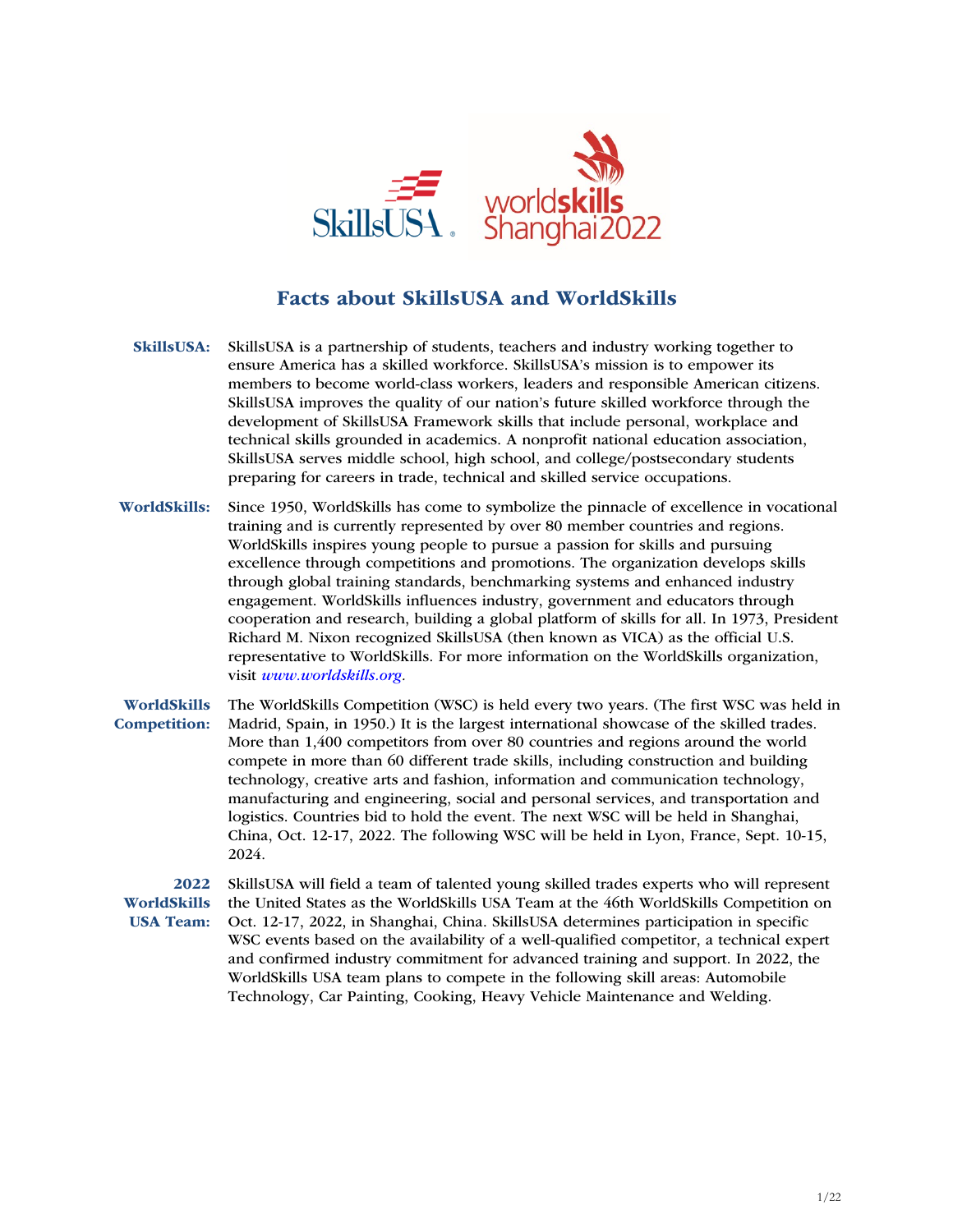

## Facts about SkillsUSA and WorldSkills

- SkillsUSA: SkillsUSA is a partnership of students, teachers and industry working together to ensure America has a skilled workforce. SkillsUSA's mission is to empower its members to become world-class workers, leaders and responsible American citizens. SkillsUSA improves the quality of our nation's future skilled workforce through the development of SkillsUSA Framework skills that include personal, workplace and technical skills grounded in academics. A nonprofit national education association, SkillsUSA serves middle school, high school, and college/postsecondary students preparing for careers in trade, technical and skilled service occupations.
- WorldSkills: Since 1950, WorldSkills has come to symbolize the pinnacle of excellence in vocational training and is currently represented by over 80 member countries and regions. WorldSkills inspires young people to pursue a passion for skills and pursuing excellence through competitions and promotions. The organization develops skills through global training standards, benchmarking systems and enhanced industry engagement. WorldSkills influences industry, government and educators through cooperation and research, building a global platform of skills for all. In 1973, President Richard M. Nixon recognized SkillsUSA (then known as VICA) as the official U.S. representative to WorldSkills. For more information on the WorldSkills organization, visit *www.worldskills.org.*

WorldSkills Competition: The WorldSkills Competition (WSC) is held every two years. (The first WSC was held in Madrid, Spain, in 1950.) It is the largest international showcase of the skilled trades. More than 1,400 competitors from over 80 countries and regions around the world compete in more than 60 different trade skills, including construction and building technology, creative arts and fashion, information and communication technology, manufacturing and engineering, social and personal services, and transportation and logistics. Countries bid to hold the event. The next WSC will be held in Shanghai, China, Oct. 12-17, 2022. The following WSC will be held in Lyon, France, Sept. 10-15, 2024.

2022 WorldSkills USA Team: SkillsUSA will field a team of talented young skilled trades experts who will represent the United States as the WorldSkills USA Team at the 46th WorldSkills Competition on Oct. 12-17, 2022, in Shanghai, China. SkillsUSA determines participation in specific WSC events based on the availability of a well-qualified competitor, a technical expert and confirmed industry commitment for advanced training and support. In 2022, the WorldSkills USA team plans to compete in the following skill areas: Automobile Technology, Car Painting, Cooking, Heavy Vehicle Maintenance and Welding.